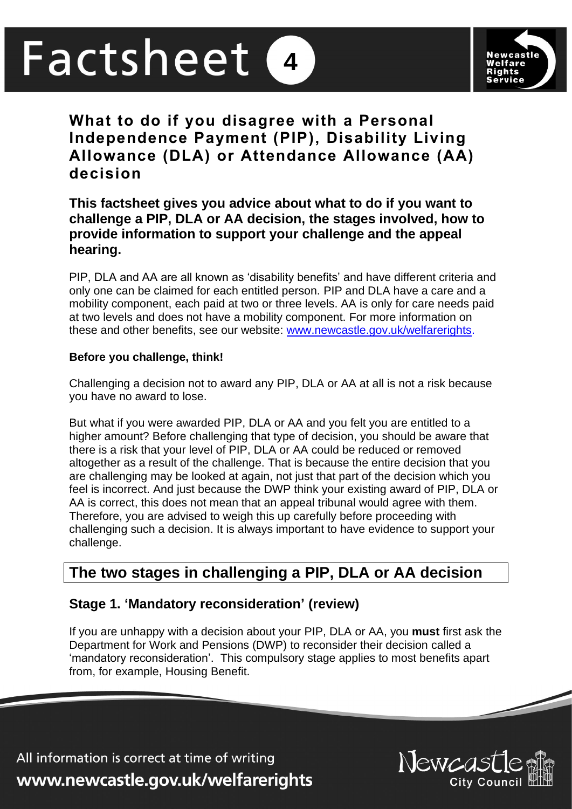# Factsheet **4**



**What to do if you disagree with a Personal Independence Payment (PIP), Disability Living Allowance (DLA) or Attendance Allowance (AA) decision**

# **This factsheet gives you advice about what to do if you want to challenge a PIP, DLA or AA decision, the stages involved, how to provide information to support your challenge and the appeal hearing.**

PIP, DLA and AA are all known as 'disability benefits' and have different criteria and only one can be claimed for each entitled person. PIP and DLA have a care and a mobility component, each paid at two or three levels. AA is only for care needs paid at two levels and does not have a mobility component. For more information on these and other benefits, see our website: [www.newcastle.gov.uk/welfarerights.](http://www.newcastle.gov.uk/welfarerights)

## **Before you challenge, think!**

Challenging a decision not to award any PIP, DLA or AA at all is not a risk because you have no award to lose.

But what if you were awarded PIP, DLA or AA and you felt you are entitled to a higher amount? Before challenging that type of decision, you should be aware that there is a risk that your level of PIP, DLA or AA could be reduced or removed altogether as a result of the challenge. That is because the entire decision that you are challenging may be looked at again, not just that part of the decision which you feel is incorrect. And just because the DWP think your existing award of PIP, DLA or AA is correct, this does not mean that an appeal tribunal would agree with them. Therefore, you are advised to weigh this up carefully before proceeding with challenging such a decision. It is always important to have evidence to support your challenge.

# **The two stages in challenging a PIP, DLA or AA decision**

# **Stage 1. 'Mandatory reconsideration' (review)**

If you are unhappy with a decision about your PIP, DLA or AA, you **must** first ask the Department for Work and Pensions (DWP) to reconsider their decision called a 'mandatory reconsideration'. This compulsory stage applies to most benefits apart from, for example, Housing Benefit.

All information is correct at time of writing www.newcastle.gov.uk/welfarerights

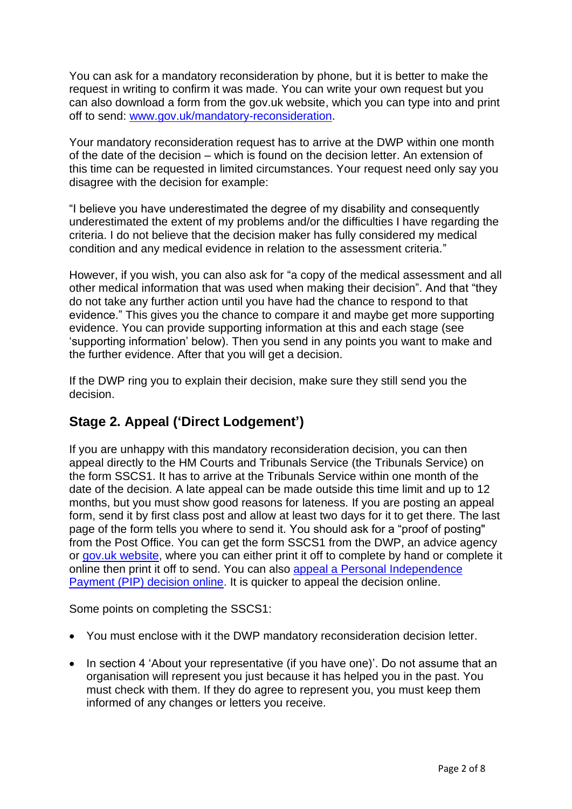You can ask for a mandatory reconsideration by phone, but it is better to make the request in writing to confirm it was made. You can write your own request but you can also download a form from the gov.uk website, which you can type into and print off to send: [www.gov.uk/mandatory-reconsideration.](http://www.gov.uk/mandatory-reconsideration)

Your mandatory reconsideration request has to arrive at the DWP within one month of the date of the decision – which is found on the decision letter. An extension of this time can be requested in limited circumstances. Your request need only say you disagree with the decision for example:

"I believe you have underestimated the degree of my disability and consequently underestimated the extent of my problems and/or the difficulties I have regarding the criteria. I do not believe that the decision maker has fully considered my medical condition and any medical evidence in relation to the assessment criteria."

However, if you wish, you can also ask for "a copy of the medical assessment and all other medical information that was used when making their decision". And that "they do not take any further action until you have had the chance to respond to that evidence." This gives you the chance to compare it and maybe get more supporting evidence. You can provide supporting information at this and each stage (see 'supporting information' below). Then you send in any points you want to make and the further evidence. After that you will get a decision.

If the DWP ring you to explain their decision, make sure they still send you the decision.

# **Stage 2. Appeal ('Direct Lodgement')**

If you are unhappy with this mandatory reconsideration decision, you can then appeal directly to the HM Courts and Tribunals Service (the Tribunals Service) on the form SSCS1. It has to arrive at the Tribunals Service within one month of the date of the decision. A late appeal can be made outside this time limit and up to 12 months, but you must show good reasons for lateness. If you are posting an appeal form, send it by first class post and allow at least two days for it to get there. The last page of the form tells you where to send it. You should ask for a "proof of posting" from the Post Office. You can get the form SSCS1 from the DWP, an advice agency or [gov.uk website,](https://www.gov.uk/government/publications/appeal-a-social-security-benefits-decision-form-sscs1) where you can either print it off to complete by hand or complete it online then print it off to send. You can also [appeal a Personal Independence](https://www.gov.uk/appeal-benefit-decision/submit-appeal)  [Payment \(PIP\) decision online.](https://www.gov.uk/appeal-benefit-decision/submit-appeal) It is quicker to appeal the decision online.

Some points on completing the SSCS1:

- You must enclose with it the DWP mandatory reconsideration decision letter.
- In section 4 'About your representative (if you have one)'. Do not assume that an organisation will represent you just because it has helped you in the past. You must check with them. If they do agree to represent you, you must keep them informed of any changes or letters you receive.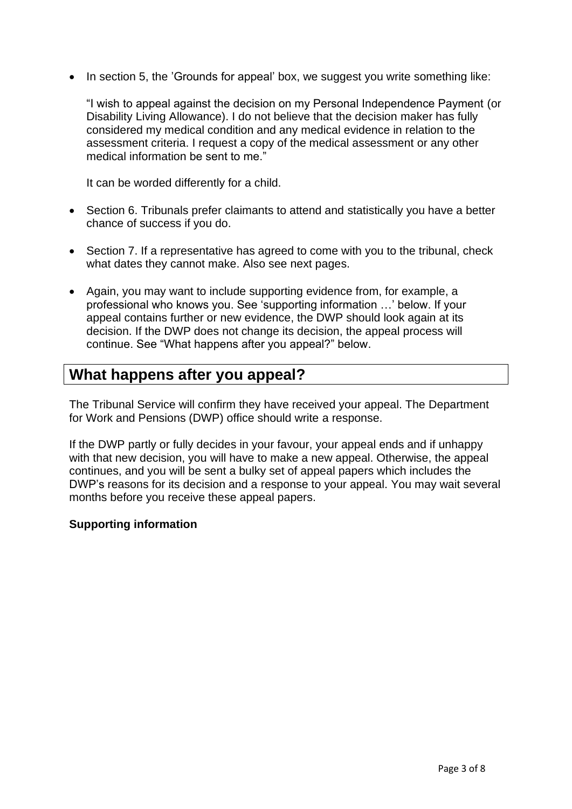• In section 5, the 'Grounds for appeal' box, we suggest you write something like:

"I wish to appeal against the decision on my Personal Independence Payment (or Disability Living Allowance). I do not believe that the decision maker has fully considered my medical condition and any medical evidence in relation to the assessment criteria. I request a copy of the medical assessment or any other medical information be sent to me."

It can be worded differently for a child.

- Section 6. Tribunals prefer claimants to attend and statistically you have a better chance of success if you do.
- Section 7. If a representative has agreed to come with you to the tribunal, check what dates they cannot make. Also see next pages.
- Again, you may want to include supporting evidence from, for example, a professional who knows you. See 'supporting information …' below. If your appeal contains further or new evidence, the DWP should look again at its decision. If the DWP does not change its decision, the appeal process will continue. See "What happens after you appeal?" below.

# **What happens after you appeal?**

The Tribunal Service will confirm they have received your appeal. The Department for Work and Pensions (DWP) office should write a response.

If the DWP partly or fully decides in your favour, your appeal ends and if unhappy with that new decision, you will have to make a new appeal. Otherwise, the appeal continues, and you will be sent a bulky set of appeal papers which includes the DWP's reasons for its decision and a response to your appeal. You may wait several months before you receive these appeal papers.

#### **Supporting information**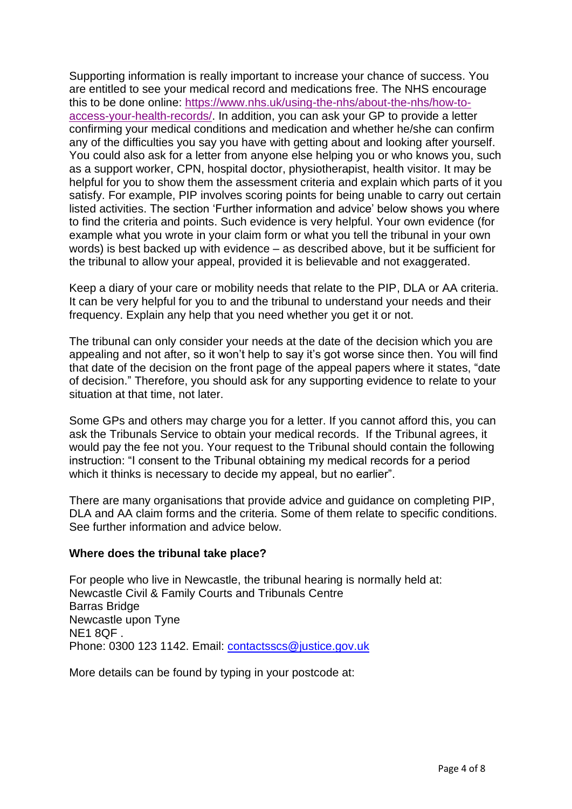Supporting information is really important to increase your chance of success. You are entitled to see your medical record and medications free. The NHS encourage this to be done online: [https://www.nhs.uk/using-the-nhs/about-the-nhs/how-to](https://www.nhs.uk/using-the-nhs/about-the-nhs/how-to-access-your-health-records/)[access-your-health-records/.](https://www.nhs.uk/using-the-nhs/about-the-nhs/how-to-access-your-health-records/) In addition, you can ask your GP to provide a letter confirming your medical conditions and medication and whether he/she can confirm any of the difficulties you say you have with getting about and looking after yourself. You could also ask for a letter from anyone else helping you or who knows you, such as a support worker, CPN, hospital doctor, physiotherapist, health visitor. It may be helpful for you to show them the assessment criteria and explain which parts of it you satisfy. For example, PIP involves scoring points for being unable to carry out certain listed activities. The section 'Further information and advice' below shows you where to find the criteria and points. Such evidence is very helpful. Your own evidence (for example what you wrote in your claim form or what you tell the tribunal in your own words) is best backed up with evidence – as described above, but it be sufficient for the tribunal to allow your appeal, provided it is believable and not exaggerated.

Keep a diary of your care or mobility needs that relate to the PIP, DLA or AA criteria. It can be very helpful for you to and the tribunal to understand your needs and their frequency. Explain any help that you need whether you get it or not.

The tribunal can only consider your needs at the date of the decision which you are appealing and not after, so it won't help to say it's got worse since then. You will find that date of the decision on the front page of the appeal papers where it states, "date of decision." Therefore, you should ask for any supporting evidence to relate to your situation at that time, not later.

Some GPs and others may charge you for a letter. If you cannot afford this, you can ask the Tribunals Service to obtain your medical records. If the Tribunal agrees, it would pay the fee not you. Your request to the Tribunal should contain the following instruction: "I consent to the Tribunal obtaining my medical records for a period which it thinks is necessary to decide my appeal, but no earlier".

There are many organisations that provide advice and guidance on completing PIP, DLA and AA claim forms and the criteria. Some of them relate to specific conditions. See further information and advice below.

#### **Where does the tribunal take place?**

For people who live in Newcastle, the tribunal hearing is normally held at: Newcastle Civil & Family Courts and Tribunals Centre Barras Bridge Newcastle upon Tyne NE1 8QF . Phone: 0300 123 1142. Email: [contactsscs@justice.gov.uk](mailto:contactsscs@justice.gov.uk)

More details can be found by typing in your postcode at: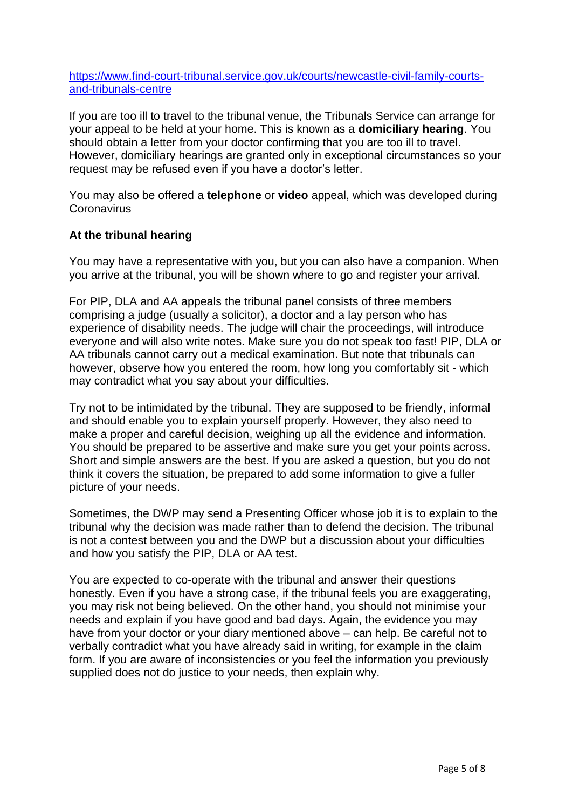[https://www.find-court-tribunal.service.gov.uk/courts/newcastle-civil-family-courts](https://www.find-court-tribunal.service.gov.uk/courts/newcastle-civil-family-courts-and-tribunals-centre)[and-tribunals-centre](https://www.find-court-tribunal.service.gov.uk/courts/newcastle-civil-family-courts-and-tribunals-centre)

If you are too ill to travel to the tribunal venue, the Tribunals Service can arrange for your appeal to be held at your home. This is known as a **domiciliary hearing**. You should obtain a letter from your doctor confirming that you are too ill to travel. However, domiciliary hearings are granted only in exceptional circumstances so your request may be refused even if you have a doctor's letter.

You may also be offered a **telephone** or **video** appeal, which was developed during **Coronavirus** 

### **At the tribunal hearing**

You may have a representative with you, but you can also have a companion. When you arrive at the tribunal, you will be shown where to go and register your arrival.

For PIP, DLA and AA appeals the tribunal panel consists of three members comprising a judge (usually a solicitor), a doctor and a lay person who has experience of disability needs. The judge will chair the proceedings, will introduce everyone and will also write notes. Make sure you do not speak too fast! PIP, DLA or AA tribunals cannot carry out a medical examination. But note that tribunals can however, observe how you entered the room, how long you comfortably sit - which may contradict what you say about your difficulties.

Try not to be intimidated by the tribunal. They are supposed to be friendly, informal and should enable you to explain yourself properly. However, they also need to make a proper and careful decision, weighing up all the evidence and information. You should be prepared to be assertive and make sure you get your points across. Short and simple answers are the best. If you are asked a question, but you do not think it covers the situation, be prepared to add some information to give a fuller picture of your needs.

Sometimes, the DWP may send a Presenting Officer whose job it is to explain to the tribunal why the decision was made rather than to defend the decision. The tribunal is not a contest between you and the DWP but a discussion about your difficulties and how you satisfy the PIP, DLA or AA test.

You are expected to co-operate with the tribunal and answer their questions honestly. Even if you have a strong case, if the tribunal feels you are exaggerating, you may risk not being believed. On the other hand, you should not minimise your needs and explain if you have good and bad days. Again, the evidence you may have from your doctor or your diary mentioned above – can help. Be careful not to verbally contradict what you have already said in writing, for example in the claim form. If you are aware of inconsistencies or you feel the information you previously supplied does not do justice to your needs, then explain why.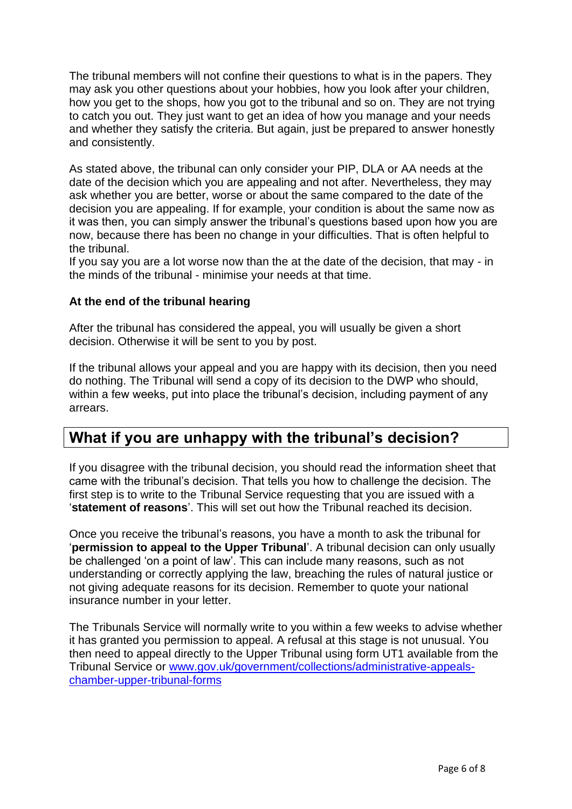The tribunal members will not confine their questions to what is in the papers. They may ask you other questions about your hobbies, how you look after your children, how you get to the shops, how you got to the tribunal and so on. They are not trying to catch you out. They just want to get an idea of how you manage and your needs and whether they satisfy the criteria. But again, just be prepared to answer honestly and consistently.

As stated above, the tribunal can only consider your PIP, DLA or AA needs at the date of the decision which you are appealing and not after. Nevertheless, they may ask whether you are better, worse or about the same compared to the date of the decision you are appealing. If for example, your condition is about the same now as it was then, you can simply answer the tribunal's questions based upon how you are now, because there has been no change in your difficulties. That is often helpful to the tribunal.

If you say you are a lot worse now than the at the date of the decision, that may - in the minds of the tribunal - minimise your needs at that time.

### **At the end of the tribunal hearing**

After the tribunal has considered the appeal, you will usually be given a short decision. Otherwise it will be sent to you by post.

If the tribunal allows your appeal and you are happy with its decision, then you need do nothing. The Tribunal will send a copy of its decision to the DWP who should, within a few weeks, put into place the tribunal's decision, including payment of any arrears.

# **What if you are unhappy with the tribunal's decision?**

If you disagree with the tribunal decision, you should read the information sheet that came with the tribunal's decision. That tells you how to challenge the decision. The first step is to write to the Tribunal Service requesting that you are issued with a '**statement of reasons**'. This will set out how the Tribunal reached its decision.

Once you receive the tribunal's reasons, you have a month to ask the tribunal for '**permission to appeal to the Upper Tribunal**'. A tribunal decision can only usually be challenged 'on a point of law'. This can include many reasons, such as not understanding or correctly applying the law, breaching the rules of natural justice or not giving adequate reasons for its decision. Remember to quote your national insurance number in your letter.

The Tribunals Service will normally write to you within a few weeks to advise whether it has granted you permission to appeal. A refusal at this stage is not unusual. You then need to appeal directly to the Upper Tribunal using form UT1 available from the Tribunal Service or [www.gov.uk/government/collections/administrative-appeals](http://www.gov.uk/government/collections/administrative-appeals-chamber-upper-tribunal-forms)[chamber-upper-tribunal-forms](http://www.gov.uk/government/collections/administrative-appeals-chamber-upper-tribunal-forms)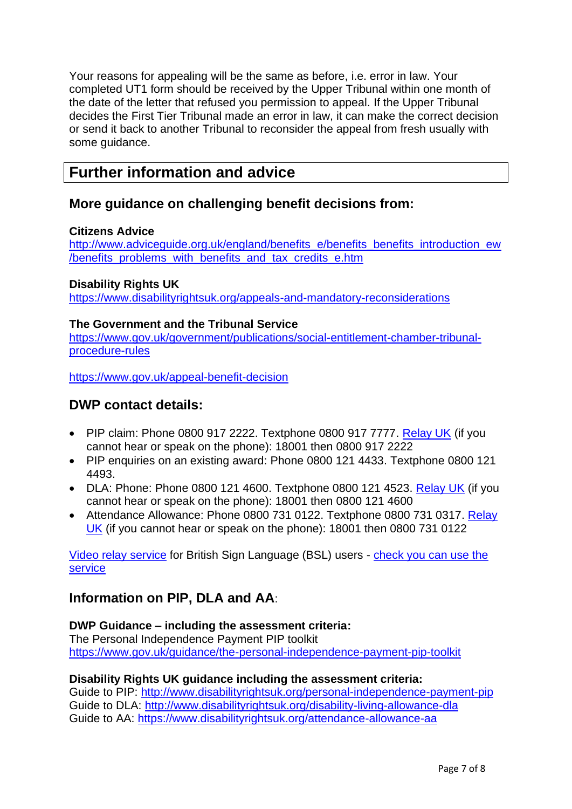Your reasons for appealing will be the same as before, i.e. error in law. Your completed UT1 form should be received by the Upper Tribunal within one month of the date of the letter that refused you permission to appeal. If the Upper Tribunal decides the First Tier Tribunal made an error in law, it can make the correct decision or send it back to another Tribunal to reconsider the appeal from fresh usually with some guidance.

# **Further information and advice**

## **More guidance on challenging benefit decisions from:**

## **Citizens Advice**

[http://www.adviceguide.org.uk/england/benefits\\_e/benefits\\_benefits\\_introduction\\_ew](http://www.adviceguide.org.uk/england/benefits_e/benefits_benefits_introduction_ew/benefits_problems_with_benefits_and_tax_credits_e.htm) [/benefits\\_problems\\_with\\_benefits\\_and\\_tax\\_credits\\_e.htm](http://www.adviceguide.org.uk/england/benefits_e/benefits_benefits_introduction_ew/benefits_problems_with_benefits_and_tax_credits_e.htm)

## **Disability Rights UK**

<https://www.disabilityrightsuk.org/appeals-and-mandatory-reconsiderations>

## **The Government and the Tribunal Service**

[https://www.gov.uk/government/publications/social-entitlement-chamber-tribunal](https://www.gov.uk/government/publications/social-entitlement-chamber-tribunal-procedure-rules)[procedure-rules](https://www.gov.uk/government/publications/social-entitlement-chamber-tribunal-procedure-rules)

<https://www.gov.uk/appeal-benefit-decision>

## **DWP contact details:**

- PIP claim: Phone 0800 917 2222. Textphone 0800 917 7777. [Relay UK](https://www.relayuk.bt.com/) (if you cannot hear or speak on the phone): 18001 then 0800 917 2222
- PIP enquiries on an existing award: Phone 0800 121 4433. Textphone 0800 121 4493.
- DLA: Phone: Phone 0800 121 4600. Textphone 0800 121 4523. [Relay UK](https://www.relayuk.bt.com/) (if you cannot hear or speak on the phone): 18001 then 0800 121 4600
- Attendance Allowance: Phone 0800 731 0122. Textphone 0800 731 0317. Relay [UK](https://www.relayuk.bt.com/) (if you cannot hear or speak on the phone): 18001 then 0800 731 0122

[Video relay service](https://main.signvideo.me/app/8/10031) for British Sign Language (BSL) users - [check you can use the](https://www.youtube.com/watch?v=Osx7FFxFpNY)  **[service](https://www.youtube.com/watch?v=Osx7FFxFpNY)** 

# **Information on PIP, DLA and AA**:

## **DWP Guidance – including the assessment criteria:**

The Personal Independence Payment PIP toolkit <https://www.gov.uk/guidance/the-personal-independence-payment-pip-toolkit>

#### **Disability Rights UK guidance including the assessment criteria:**

Guide to PIP:<http://www.disabilityrightsuk.org/personal-independence-payment-pip> Guide to DLA:<http://www.disabilityrightsuk.org/disability-living-allowance-dla> Guide to AA:<https://www.disabilityrightsuk.org/attendance-allowance-aa>